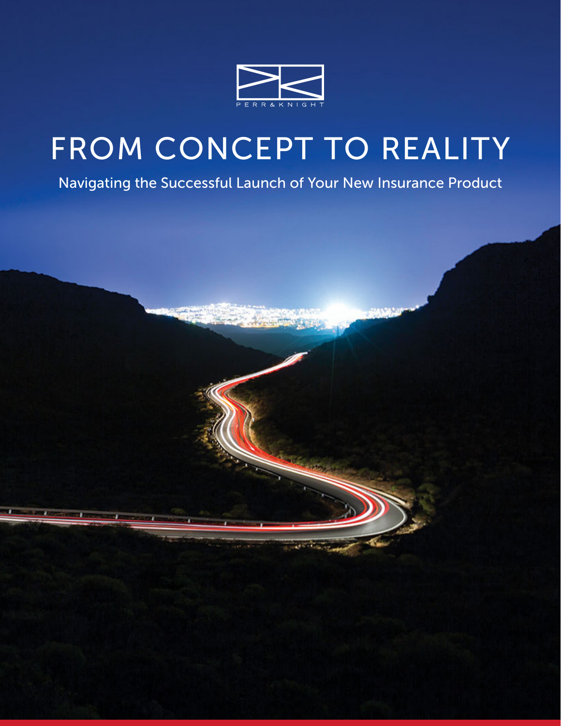

# FROM CONCEPT TO REALITY

Navigating the Successful Launch of Your New Insurance Product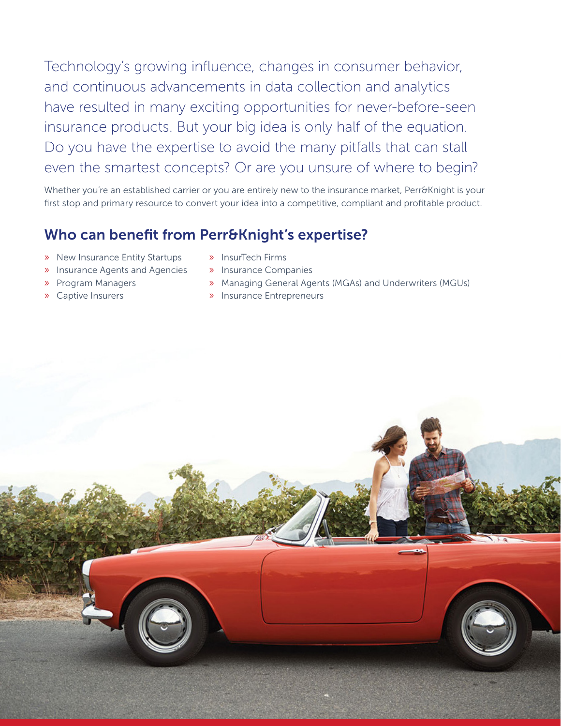Technology's growing influence, changes in consumer behavior, and continuous advancements in data collection and analytics have resulted in many exciting opportunities for never-before-seen insurance products. But your big idea is only half of the equation. Do you have the expertise to avoid the many pitfalls that can stall even the smartest concepts? Or are you unsure of where to begin?

Whether you're an established carrier or you are entirely new to the insurance market, Perr&Knight is your first stop and primary resource to convert your idea into a competitive, compliant and profitable product.

#### Who can benefit from Perr&Knight's expertise?

- » New Insurance Entity Startups
- » Insurance Agents and Agencies
- » Program Managers
- » Captive Insurers
- » InsurTech Firms
- » Insurance Companies
- » Managing General Agents (MGAs) and Underwriters (MGUs)
- » Insurance Entrepreneurs

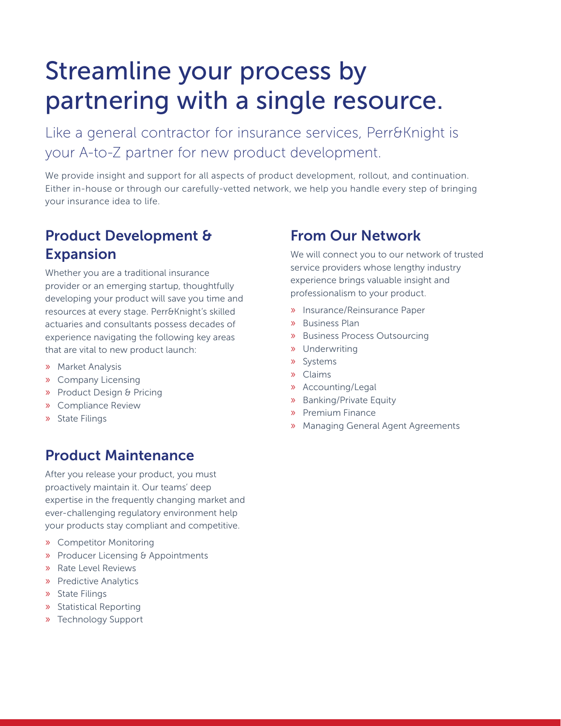# Streamline your process by partnering with a single resource.

Like a general contractor for insurance services, Perr&Knight is your A-to-Z partner for new product development.

We provide insight and support for all aspects of product development, rollout, and continuation. Either in-house or through our carefully-vetted network, we help you handle every step of bringing your insurance idea to life.

#### Product Development & Expansion

Whether you are a traditional insurance provider or an emerging startup, thoughtfully developing your product will save you time and resources at every stage. Perr&Knight's skilled actuaries and consultants possess decades of experience navigating the following key areas that are vital to new product launch:

- » Market Analysis
- » Company Licensing
- » Product Design & Pricing
- » Compliance Review
- » State Filings

#### Product Maintenance

After you release your product, you must proactively maintain it. Our teams' deep expertise in the frequently changing market and ever-challenging regulatory environment help your products stay compliant and competitive.

- » Competitor Monitoring
- » Producer Licensing & Appointments
- » Rate Level Reviews
- » Predictive Analytics
- » State Filings
- » Statistical Reporting
- » Technology Support

#### From Our Network

We will connect you to our network of trusted service providers whose lengthy industry experience brings valuable insight and professionalism to your product.

- » Insurance/Reinsurance Paper
- » Business Plan
- » Business Process Outsourcing
- » Underwriting
- » Systems
- » Claims
- » Accounting/Legal
- » Banking/Private Equity
- » Premium Finance
- » Managing General Agent Agreements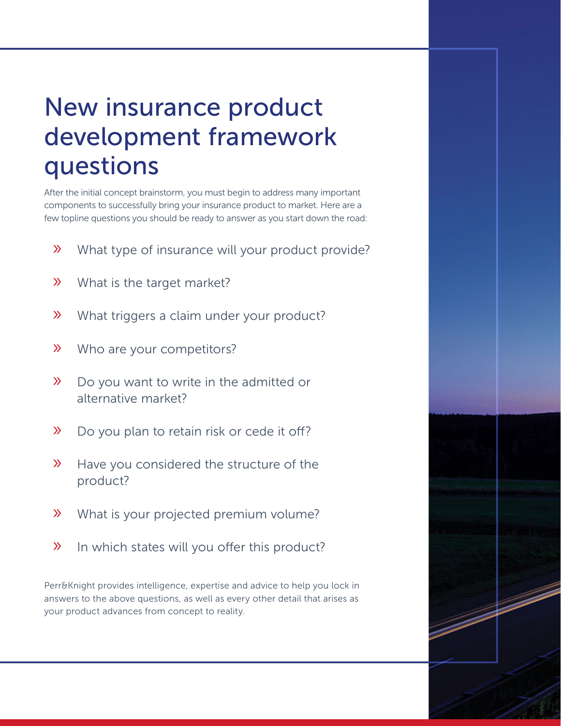## New insurance product development framework questions

After the initial concept brainstorm, you must begin to address many important components to successfully bring your insurance product to market. Here are a few topline questions you should be ready to answer as you start down the road:

- » What type of insurance will your product provide?
- » What is the target market?
- » What triggers a claim under your product?
- » Who are your competitors?
- » Do you want to write in the admitted or alternative market?
- » Do you plan to retain risk or cede it off?
- » Have you considered the structure of the product?
- » What is your projected premium volume?
- » In which states will you offer this product?

Perr&Knight provides intelligence, expertise and advice to help you lock in answers to the above questions, as well as every other detail that arises as your product advances from concept to reality.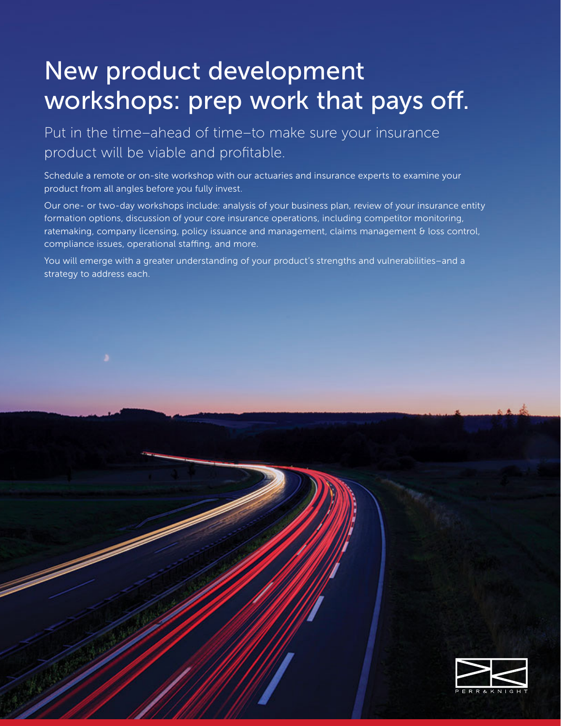## New product development workshops: prep work that pays off.

Put in the time–ahead of time–to make sure your insurance product will be viable and profitable.

Schedule a remote or on-site workshop with our actuaries and insurance experts to examine your product from all angles before you fully invest.

Our one- or two-day workshops include: analysis of your business plan, review of your insurance entity formation options, discussion of your core insurance operations, including competitor monitoring, ratemaking, company licensing, policy issuance and management, claims management & loss control, compliance issues, operational staffing, and more.

You will emerge with a greater understanding of your product's strengths and vulnerabilities–and a strategy to address each.